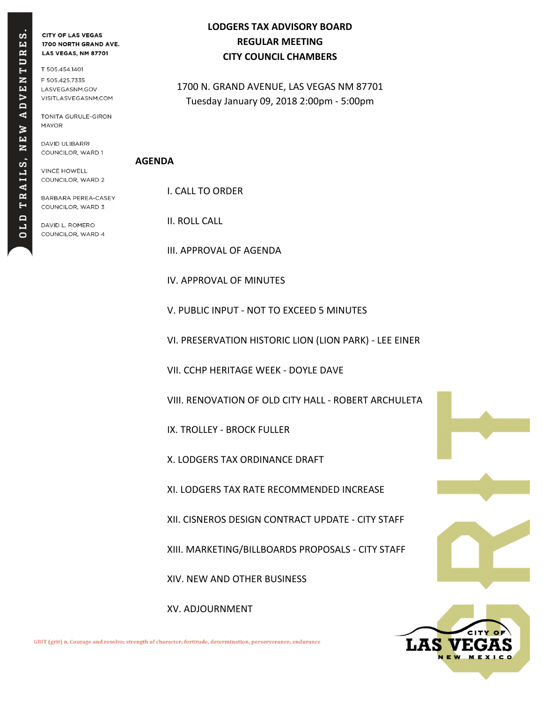**SC** 囜  $\mathbf{R}$ Þ EN  $\triangleright$  $\overline{A}$ Þ .<br>Ш  $\overline{\mathbf{z}}$ AILS, R  $\blacksquare$ Ξ  $\ddot{\mathbf{o}}$  **CITY OF LAS VEGAS** 1700 NORTH GRAND AVE. LAS VEGAS, NM 87701

T 505.454.1401 F 505.425.7335 LASVEGASNM.GOV VISITLASVEGASNM.COM

TONITA GURULE-GIRON **MAYOR** 

DAVID ULIBARRI COUNCILOR, WARD 1

**VINCE HOWELL** COUNCILOR, WARD 2

BARBARA PEREA-CASEY COUNCILOR, WARD 3

DAVID L. ROMERO COUNCILOR, WARD 4

## **LODGERS TAX ADVISORY BOARD REGULAR MEETING CITY COUNCIL CHAMBERS**

1700 N. GRAND AVENUE, LAS VEGAS NM 87701 Tuesday January 09, 2018 2:00pm - 5:00pm

## **AGENDA**

I. CALL TO ORDER

II. ROLL CALL

III. APPROVAL OF AGENDA

IV. APPROVAL OF MINUTES

V. PUBLIC INPUT - NOT TO EXCEED 5 MINUTES

VI. PRESERVATION HISTORIC LION (LION PARK) - LEE EINER

VII. CCHP HERITAGE WEEK - DOYLE DAVE

VIII. RENOVATION OF OLD CITY HALL - ROBERT ARCHULETA

IX. TROLLEY - BROCK FULLER

X. LODGERS TAX ORDINANCE DRAFT

XI. LODGERS TAX RATE RECOMMENDED INCREASE

XII. CISNEROS DESIGN CONTRACT UPDATE - CITY STAFF

XIII. MARKETING/BILLBOARDS PROPOSALS - CITY STAFF

XIV. NEW AND OTHER BUSINESS

XV. ADJOURNMENT



GRIT (grit) n. Courage and resolve; strength of character; fortitude, determination, perserverance; endurance